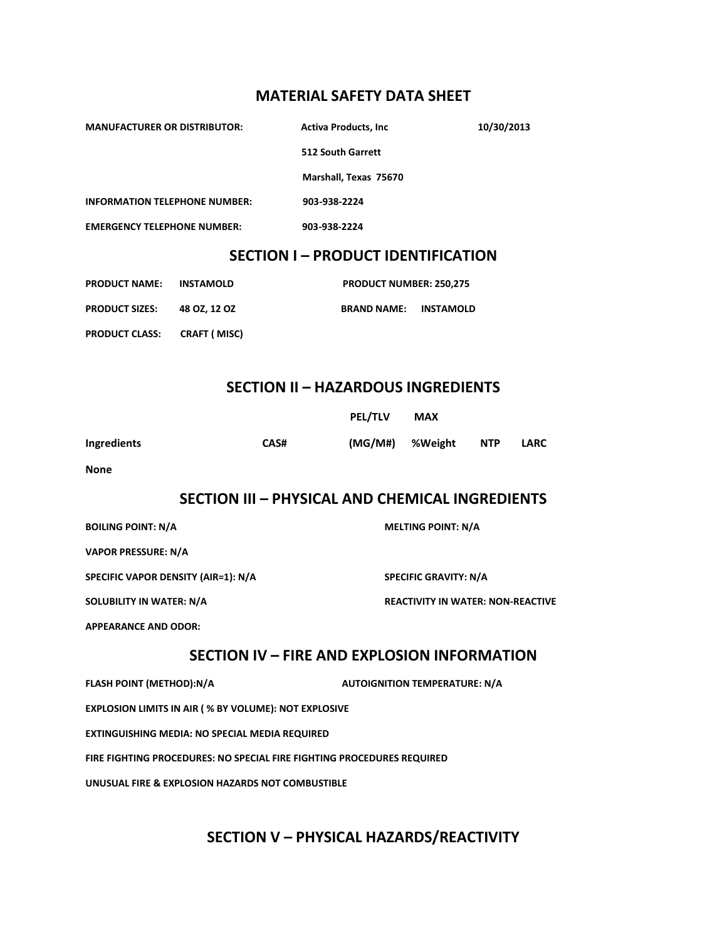#### **MATERIAL SAFETY DATA SHEET**

| <b>MANUFACTURER OR DISTRIBUTOR:</b>       |                     | <b>Activa Products, Inc.</b> | 10/30/2013       |  |
|-------------------------------------------|---------------------|------------------------------|------------------|--|
|                                           |                     | <b>512 South Garrett</b>     |                  |  |
|                                           |                     | Marshall, Texas 75670        |                  |  |
| <b>INFORMATION TELEPHONE NUMBER:</b>      |                     | 903-938-2224                 |                  |  |
| <b>EMERGENCY TELEPHONE NUMBER:</b>        |                     | 903-938-2224                 |                  |  |
| <b>SECTION I - PRODUCT IDENTIFICATION</b> |                     |                              |                  |  |
| <b>PRODUCT NAME:</b>                      | <b>INSTAMOLD</b>    | PRODUCT NUMBER: 250,275      |                  |  |
| <b>PRODUCT SIZES:</b>                     | 48 OZ, 12 OZ        | <b>BRAND NAME:</b>           | <b>INSTAMOLD</b> |  |
| <b>PRODUCT CLASS:</b>                     | <b>CRAFT (MISC)</b> |                              |                  |  |
|                                           |                     |                              |                  |  |
| <b>SECTION II - HAZARDOUS INGREDIENTS</b> |                     |                              |                  |  |
|                                           |                     | <b>PEL/TLV</b>               | <b>MAX</b>       |  |

**Ingredients CAS# (MG/M#) %Weight NTP LARC**

**None**

# **SECTION III – PHYSICAL AND CHEMICAL INGREDIENTS**

| <b>BOILING POINT: N/A</b>           | <b>MELTING POINT: N/A</b>                |
|-------------------------------------|------------------------------------------|
| <b>VAPOR PRESSURE: N/A</b>          |                                          |
| SPECIFIC VAPOR DENSITY (AIR=1): N/A | <b>SPECIFIC GRAVITY: N/A</b>             |
| <b>SOLUBILITY IN WATER: N/A</b>     | <b>REACTIVITY IN WATER: NON-REACTIVE</b> |
| <b>APPEARANCE AND ODOR:</b>         |                                          |

## **SECTION IV – FIRE AND EXPLOSION INFORMATION**

**FLASH POINT (METHOD):N/A AUTOIGNITION TEMPERATURE: N/A EXPLOSION LIMITS IN AIR ( % BY VOLUME): NOT EXPLOSIVE EXTINGUISHING MEDIA: NO SPECIAL MEDIA REQUIRED FIRE FIGHTING PROCEDURES: NO SPECIAL FIRE FIGHTING PROCEDURES REQUIRED UNUSUAL FIRE & EXPLOSION HAZARDS NOT COMBUSTIBLE**

# **SECTION V – PHYSICAL HAZARDS/REACTIVITY**